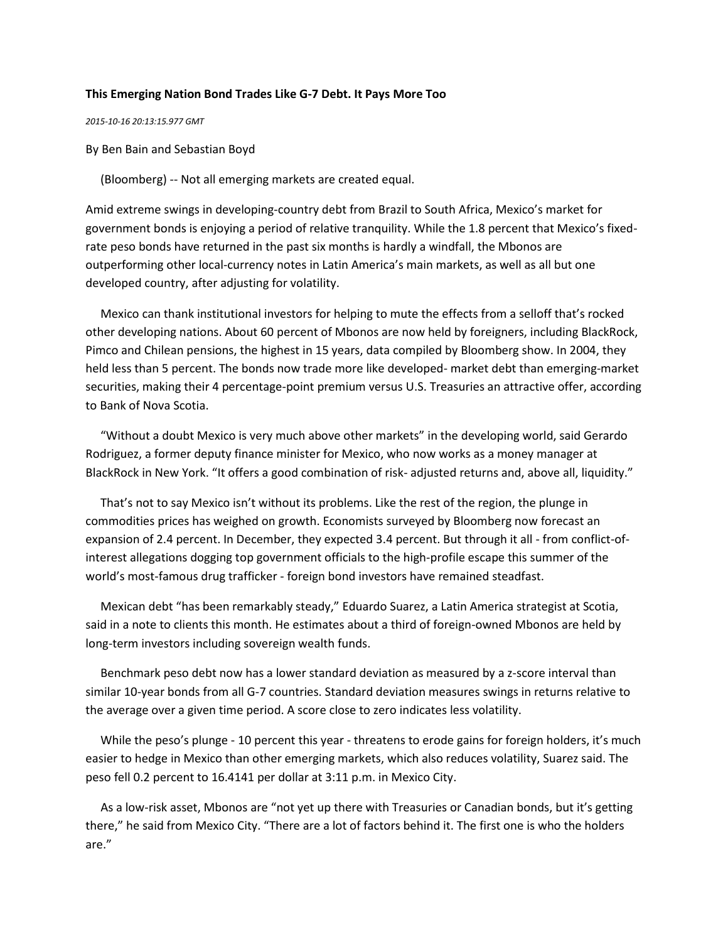## **This Emerging Nation Bond Trades Like G-7 Debt. It Pays More Too**

*2015-10-16 20:13:15.977 GMT*

By Ben Bain and Sebastian Boyd

(Bloomberg) -- Not all emerging markets are created equal.

Amid extreme swings in developing-country debt from Brazil to South Africa, Mexico's market for government bonds is enjoying a period of relative tranquility. While the 1.8 percent that Mexico's fixedrate peso bonds have returned in the past six months is hardly a windfall, the Mbonos are outperforming other local-currency notes in Latin America's main markets, as well as all but one developed country, after adjusting for volatility.

 Mexico can thank institutional investors for helping to mute the effects from a selloff that's rocked other developing nations. About 60 percent of Mbonos are now held by foreigners, including BlackRock, Pimco and Chilean pensions, the highest in 15 years, data compiled by Bloomberg show. In 2004, they held less than 5 percent. The bonds now trade more like developed- market debt than emerging-market securities, making their 4 percentage-point premium versus U.S. Treasuries an attractive offer, according to Bank of Nova Scotia.

 "Without a doubt Mexico is very much above other markets" in the developing world, said Gerardo Rodriguez, a former deputy finance minister for Mexico, who now works as a money manager at BlackRock in New York. "It offers a good combination of risk- adjusted returns and, above all, liquidity."

 That's not to say Mexico isn't without its problems. Like the rest of the region, the plunge in commodities prices has weighed on growth. Economists surveyed by Bloomberg now forecast an expansion of 2.4 percent. In December, they expected 3.4 percent. But through it all - from conflict-ofinterest allegations dogging top government officials to the high-profile escape this summer of the world's most-famous drug trafficker - foreign bond investors have remained steadfast.

 Mexican debt "has been remarkably steady," Eduardo Suarez, a Latin America strategist at Scotia, said in a note to clients this month. He estimates about a third of foreign-owned Mbonos are held by long-term investors including sovereign wealth funds.

 Benchmark peso debt now has a lower standard deviation as measured by a z-score interval than similar 10-year bonds from all G-7 countries. Standard deviation measures swings in returns relative to the average over a given time period. A score close to zero indicates less volatility.

 While the peso's plunge - 10 percent this year - threatens to erode gains for foreign holders, it's much easier to hedge in Mexico than other emerging markets, which also reduces volatility, Suarez said. The peso fell 0.2 percent to 16.4141 per dollar at 3:11 p.m. in Mexico City.

 As a low-risk asset, Mbonos are "not yet up there with Treasuries or Canadian bonds, but it's getting there," he said from Mexico City. "There are a lot of factors behind it. The first one is who the holders are."